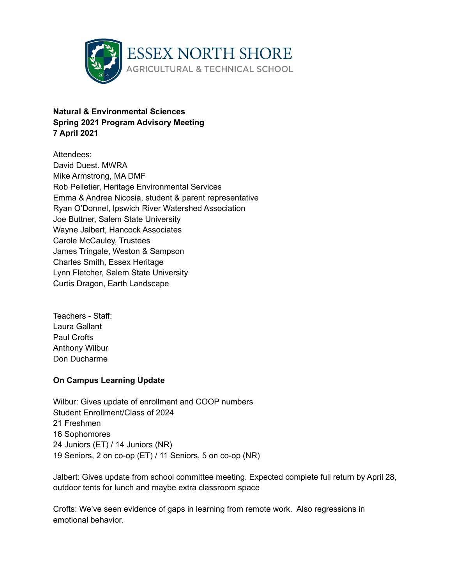

# **Natural & Environmental Sciences Spring 2021 Program Advisory Meeting 7 April 2021**

Attendees: David Duest. MWRA Mike Armstrong, MA DMF Rob Pelletier, Heritage Environmental Services Emma & Andrea Nicosia, student & parent representative Ryan O'Donnel, Ipswich River Watershed Association Joe Buttner, Salem State University Wayne Jalbert, Hancock Associates Carole McCauley, Trustees James Tringale, Weston & Sampson Charles Smith, Essex Heritage Lynn Fletcher, Salem State University Curtis Dragon, Earth Landscape

Teachers - Staff: Laura Gallant Paul Crofts Anthony Wilbur Don Ducharme

## **On Campus Learning Update**

Wilbur: Gives update of enrollment and COOP numbers Student Enrollment/Class of 2024 21 Freshmen 16 Sophomores 24 Juniors (ET) / 14 Juniors (NR) 19 Seniors, 2 on co-op (ET) / 11 Seniors, 5 on co-op (NR)

Jalbert: Gives update from school committee meeting. Expected complete full return by April 28, outdoor tents for lunch and maybe extra classroom space

Crofts: We've seen evidence of gaps in learning from remote work. Also regressions in emotional behavior.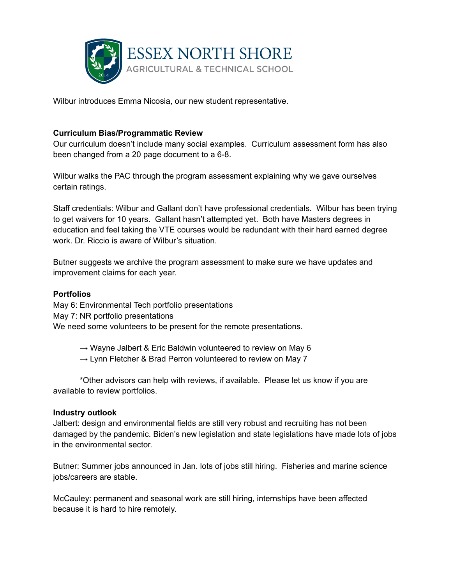

Wilbur introduces Emma Nicosia, our new student representative.

### **Curriculum Bias/Programmatic Review**

Our curriculum doesn't include many social examples. Curriculum assessment form has also been changed from a 20 page document to a 6-8.

Wilbur walks the PAC through the program assessment explaining why we gave ourselves certain ratings.

Staff credentials: Wilbur and Gallant don't have professional credentials. Wilbur has been trying to get waivers for 10 years. Gallant hasn't attempted yet. Both have Masters degrees in education and feel taking the VTE courses would be redundant with their hard earned degree work. Dr. Riccio is aware of Wilbur's situation.

Butner suggests we archive the program assessment to make sure we have updates and improvement claims for each year.

#### **Portfolios**

May 6: Environmental Tech portfolio presentations May 7: NR portfolio presentations We need some volunteers to be present for the remote presentations.

 $\rightarrow$  Wayne Jalbert & Eric Baldwin volunteered to review on May 6

 $\rightarrow$  Lynn Fletcher & Brad Perron volunteered to review on May 7

\*Other advisors can help with reviews, if available. Please let us know if you are available to review portfolios.

#### **Industry outlook**

Jalbert: design and environmental fields are still very robust and recruiting has not been damaged by the pandemic. Biden's new legislation and state legislations have made lots of jobs in the environmental sector.

Butner: Summer jobs announced in Jan. lots of jobs still hiring. Fisheries and marine science jobs/careers are stable.

McCauley: permanent and seasonal work are still hiring, internships have been affected because it is hard to hire remotely.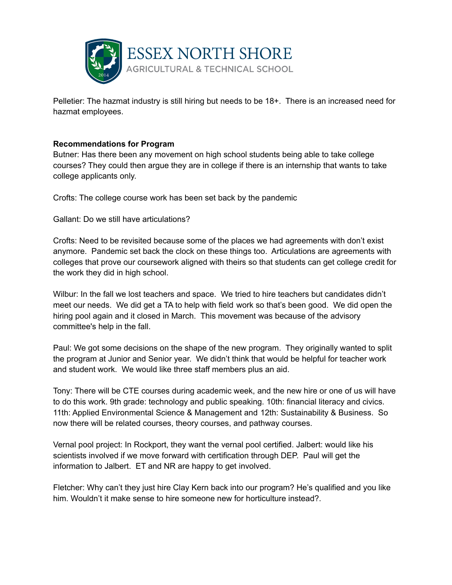

Pelletier: The hazmat industry is still hiring but needs to be 18+. There is an increased need for hazmat employees.

### **Recommendations for Program**

Butner: Has there been any movement on high school students being able to take college courses? They could then argue they are in college if there is an internship that wants to take college applicants only.

Crofts: The college course work has been set back by the pandemic

Gallant: Do we still have articulations?

Crofts: Need to be revisited because some of the places we had agreements with don't exist anymore. Pandemic set back the clock on these things too. Articulations are agreements with colleges that prove our coursework aligned with theirs so that students can get college credit for the work they did in high school.

Wilbur: In the fall we lost teachers and space. We tried to hire teachers but candidates didn't meet our needs. We did get a TA to help with field work so that's been good. We did open the hiring pool again and it closed in March. This movement was because of the advisory committee's help in the fall.

Paul: We got some decisions on the shape of the new program. They originally wanted to split the program at Junior and Senior year. We didn't think that would be helpful for teacher work and student work. We would like three staff members plus an aid.

Tony: There will be CTE courses during academic week, and the new hire or one of us will have to do this work. 9th grade: technology and public speaking. 10th: financial literacy and civics. 11th: Applied Environmental Science & Management and 12th: Sustainability & Business. So now there will be related courses, theory courses, and pathway courses.

Vernal pool project: In Rockport, they want the vernal pool certified. Jalbert: would like his scientists involved if we move forward with certification through DEP. Paul will get the information to Jalbert. ET and NR are happy to get involved.

Fletcher: Why can't they just hire Clay Kern back into our program? He's qualified and you like him. Wouldn't it make sense to hire someone new for horticulture instead?.